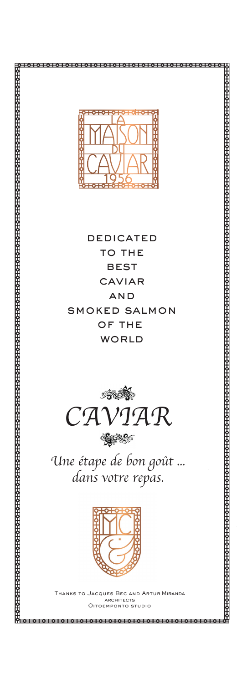

**DEDICATED** TO THE **BEST** CAVIAR **AND SMOKED SALMON** OF THE WORLD



Une étape de bon goût ... dans votre repas.



JES BEC AND RCHITECTS TOEMPONTO STUDIO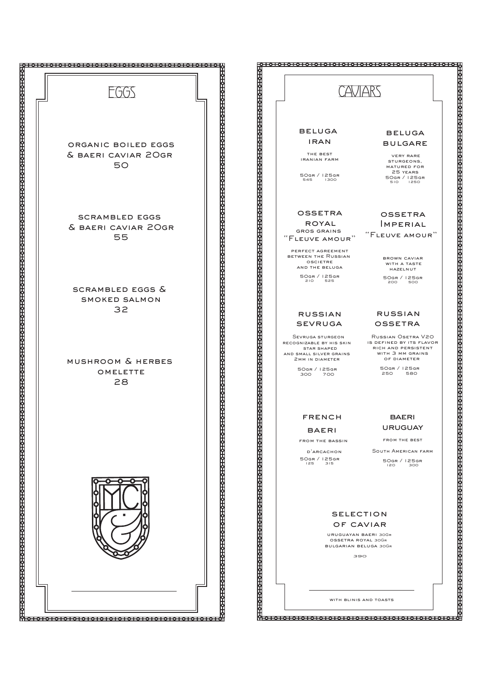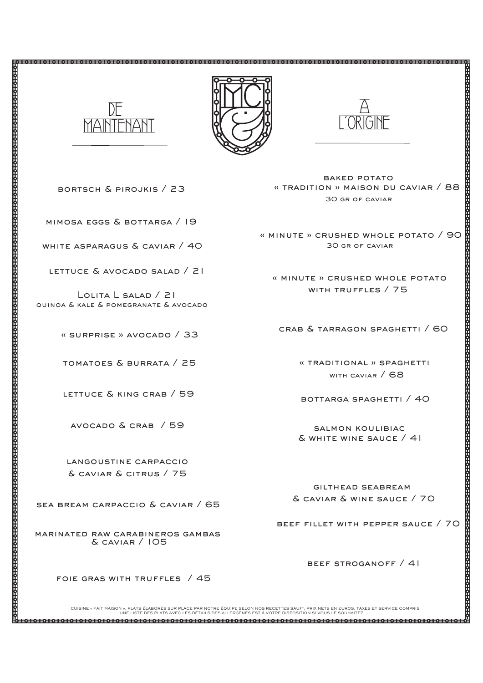



baked potato « tradition » maison du caviar / 88 30 gr of caviar

A

L'ORIGINE

« minute » crushed whole potato / 90 30 gr of caviar

 « minute » crushed whole potato with truffles / 75

crab & tarragon spaghetti / 60

 « traditional » spaghetti with caviar / 68

bottarga spaghetti / 40

 salmon koulibiac & white wine sauce / 41

 gilthead seabream & caviar & wine sauce / 70

beef fillet with pepper sauce / 70

beef stroganoff / 41

CUISINE « FAIT MAISORES SUR PLACE PAR NOTRE ÉQUIPE SELON NOS RECETTES SAUF", PRIX NETS EN EUROS, TAXES ET SERVICE COMPRIS<br>UNE LISTE DES PLATS AVEC LES DÉTAILS DES ALLERGÈNES EST À VOTRE DISPOSITION SI VOUS LE SOUHAITEZ

bortsch & pirojkis / 23

mimosa eggs & bottarga / 19

 $\frac{M}{M}$  white asparagus & caviar / 40

lettuce & avocado salad / 21

 quinoa & kale & pomegranate & avocado Lolita L salad / 21

« surprise » avocado / 33

tomatoes & burrata / 25

lettuce & king crab / 59

avocado & crab / 59

langoustine carpaccio & caviar & citrus / 75

8

sea bream carpaccio & caviar / 65

marinated raw carabineros gambas & caviar / 105

foie gras with truffles / 45